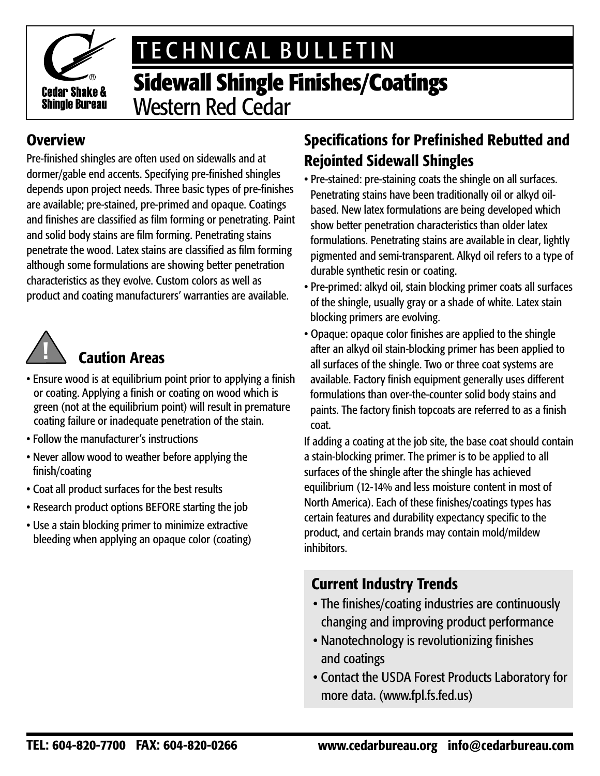

# TECHNICAL BULLETIN

## **Sidewall Shingle Finishes/Coatings** Western Red Cedar

### **Overview**

Pre-finished shingles are often used on sidewalls and at dormer/gable end accents. Specifying pre-finished shingles depends upon project needs. Three basic types of pre-finishes are available; pre-stained, pre-primed and opaque. Coatings and finishes are classified as film forming or penetrating. Paint and solid body stains are film forming. Penetrating stains penetrate the wood. Latex stains are classified as film forming although some formulations are showing better penetration characteristics as they evolve. Custom colors as well as product and coating manufacturers' warranties are available.



## Caution Areas

- Ensure wood is at equilibrium point prior to applying a finish or coating. Applying a finish or coating on wood which is green (not at the equilibrium point) will result in premature coating failure or inadequate penetration of the stain.
- Follow the manufacturer's instructions
- Never allow wood to weather before applying the finish/coating
- Coat all product surfaces for the best results
- Research product options BEFORE starting the job
- Use a stain blocking primer to minimize extractive bleeding when applying an opaque color (coating)

### Specifications for Prefinished Rebutted and Rejointed Sidewall Shingles

- Pre-stained: pre-staining coats the shingle on all surfaces. Penetrating stains have been traditionally oil or alkyd oilbased. New latex formulations are being developed which show better penetration characteristics than older latex formulations. Penetrating stains are available in clear, lightly pigmented and semi-transparent. Alkyd oil refers to a type of durable synthetic resin or coating.
- Pre-primed: alkyd oil, stain blocking primer coats all surfaces of the shingle, usually gray or a shade of white. Latex stain blocking primers are evolving.
- Opaque: opaque color finishes are applied to the shingle after an alkyd oil stain-blocking primer has been applied to all surfaces of the shingle. Two or three coat systems are available. Factory finish equipment generally uses different formulations than over-the-counter solid body stains and paints. The factory finish topcoats are referred to as a finish coat.

If adding a coating at the job site, the base coat should contain a stain-blocking primer. The primer is to be applied to all surfaces of the shingle after the shingle has achieved equilibrium (12-14% and less moisture content in most of North America). Each of these finishes/coatings types has certain features and durability expectancy specific to the product, and certain brands may contain mold/mildew inhibitors.

### Current Industry Trends

- The finishes/coating industries are continuously changing and improving product performance
- Nanotechnology is revolutionizing finishes and coatings
- Contact the USDA Forest Products Laboratory for more data. (www.fpl.fs.fed.us)